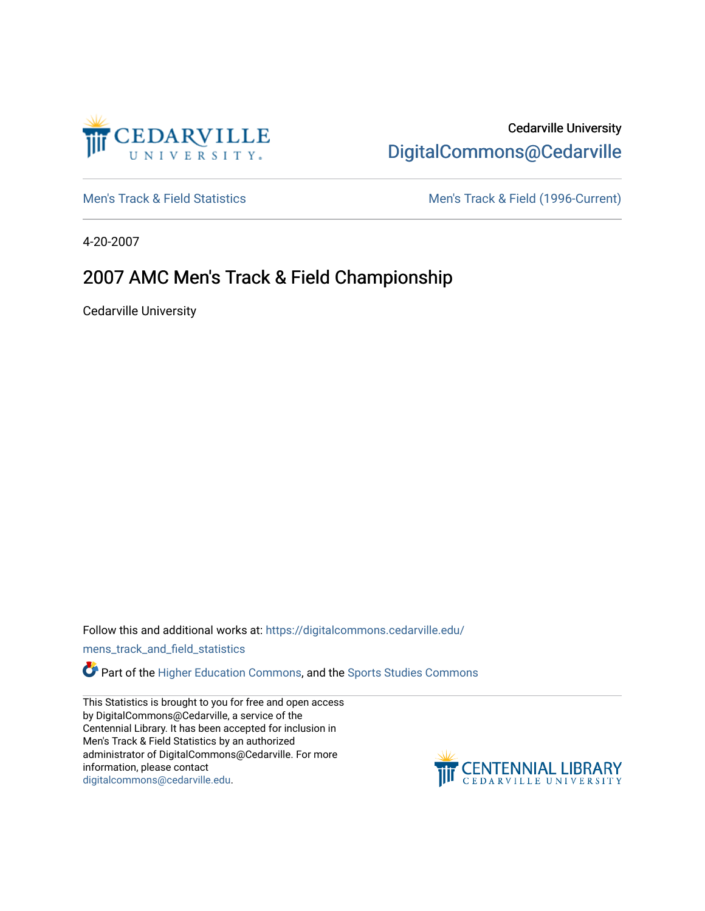

# Cedarville University [DigitalCommons@Cedarville](https://digitalcommons.cedarville.edu/)

[Men's Track & Field Statistics](https://digitalcommons.cedarville.edu/mens_track_and_field_statistics) [Men's Track & Field \(1996-Current\)](https://digitalcommons.cedarville.edu/mens_track_and_field) 

4-20-2007

# 2007 AMC Men's Track & Field Championship

Cedarville University

Follow this and additional works at: [https://digitalcommons.cedarville.edu/](https://digitalcommons.cedarville.edu/mens_track_and_field_statistics?utm_source=digitalcommons.cedarville.edu%2Fmens_track_and_field_statistics%2F183&utm_medium=PDF&utm_campaign=PDFCoverPages)

[mens\\_track\\_and\\_field\\_statistics](https://digitalcommons.cedarville.edu/mens_track_and_field_statistics?utm_source=digitalcommons.cedarville.edu%2Fmens_track_and_field_statistics%2F183&utm_medium=PDF&utm_campaign=PDFCoverPages)

**Part of the [Higher Education Commons,](http://network.bepress.com/hgg/discipline/1245?utm_source=digitalcommons.cedarville.edu%2Fmens_track_and_field_statistics%2F183&utm_medium=PDF&utm_campaign=PDFCoverPages) and the Sports Studies Commons** 

This Statistics is brought to you for free and open access by DigitalCommons@Cedarville, a service of the Centennial Library. It has been accepted for inclusion in Men's Track & Field Statistics by an authorized administrator of DigitalCommons@Cedarville. For more information, please contact [digitalcommons@cedarville.edu](mailto:digitalcommons@cedarville.edu).

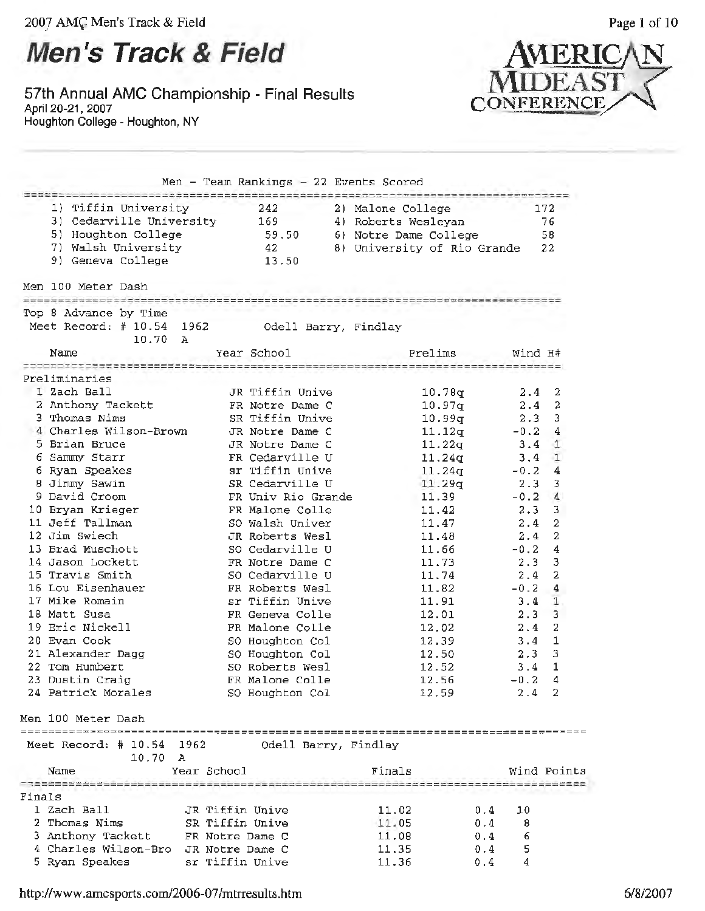# **Men's Track & Field**

**57th Annual AMC Championship - Final Results**  April 20-21, 2007 Houghton College - Houghton, NY  $\frac{1}{2}$ 



|        |                                                     |                 |                        | Men - Team Rankings $-22$ Events Scored       |            |         |                |
|--------|-----------------------------------------------------|-----------------|------------------------|-----------------------------------------------|------------|---------|----------------|
|        | 1) Tiffin University                                |                 | 242                    | 2) Malone College                             |            |         | 172            |
|        | 3) Cedarville University                            |                 | 169                    | 4) Roberts Wesleyan                           |            |         | 76             |
|        | 5) Houghton College                                 |                 | 59.50                  | 6) Notre Dame College                         |            |         | 58             |
|        | 7) Walsh University                                 |                 | 42                     | 8) University of Rio Grande                   |            |         | 22             |
|        | 9) Geneva College                                   |                 | 13.50                  |                                               |            |         |                |
|        |                                                     |                 |                        |                                               |            |         |                |
|        | Men 100 Meter Dash<br>============================= |                 |                        |                                               |            |         |                |
|        | Top 8 Advance by Time                               |                 |                        |                                               |            |         |                |
|        | Meet Record: # 10.54 1962<br>10.70                  | - A             |                        | Odell Barry, Findlay                          |            |         |                |
|        | Name                                                |                 | Year School            | Prelims                                       |            | Wind H# |                |
|        | =======================<br>Preliminaries            |                 | ====================== | ===============================               |            |         |                |
|        | 1 Zach Ball                                         |                 | JR Tiffin Unive        | 10.78q                                        |            | 2.4     | 2              |
|        | 2 Anthony Tackett                                   |                 | FR Notre Dame C        | 10.97q                                        |            | 2.4     | $\mathbf{2}$   |
|        | 3 Thomas Nims                                       |                 | SR Tiffin Unive        | 10.99q                                        |            | 2.3     | 3              |
|        | 4 Charles Wilson-Brown                              |                 | JR Notre Dame C        | 11.12q                                        |            | $-0.2$  | 4              |
|        | 5 Brian Bruce                                       |                 | JR Notre Dame C        | 11.22q                                        |            | 3.4     | $\mathbf{1}$   |
|        | 6 Sammy Starr                                       |                 | FR Cedarville U        | 11.24q                                        |            | 3.4     | $\mathbf{1}$   |
|        | 6 Ryan Speakes                                      |                 | sr Tiffin Unive        | 11.24q                                        |            | $-0.2$  | 4              |
|        | 8 Jimmy Sawin                                       |                 | SR Cedarville U        | 11.29q                                        |            | 2.3     | 3              |
|        | 9 David Croom                                       |                 | FR Univ Rio Grande     | 11.39                                         |            | $-0.2$  | 4              |
|        | 10 Bryan Krieger                                    |                 | FR Malone Colle        | 11.42                                         |            | 2.3     | 3              |
|        | 11 Jeff Tallman                                     |                 | SO Walsh Univer        | 11,47                                         |            | 2.4     | $\overline{2}$ |
|        | 12 Jim Swiech                                       |                 | JR Roberts Wesl        | 11.48                                         |            | 2.4     | 2              |
|        | 13 Brad Muschott                                    |                 | SO Cedarville U        | 11.66                                         |            | $-0.2$  | 4              |
|        | 14 Jason Lockett                                    |                 | FR Notre Dame C        | 11.73                                         |            | 2.3     | 3              |
|        | 15 Travis Smith                                     |                 | SO Cedarville U        | 11.74                                         |            | 2.4     | 2              |
|        | 16 Lou Eisenhauer                                   |                 | FR Roberts Wesl        | 11.82                                         |            | $-0.2$  | 4              |
|        | 17 Mike Romain                                      |                 | sr Tiffin Unive        | 11.91                                         |            | 3.4     | 1              |
|        | 18 Matt Susa                                        |                 | FR Geneva Colle        | 12.01                                         |            | 2.3     | 3              |
|        | 19 Eric Nickell                                     |                 | FR Malone Colle        | 12.02                                         |            | 2.4     | 2              |
|        | 20 Evan Cook                                        |                 | SO Houghton Col        | 12,39                                         |            | 3.4     | 1              |
|        | 21 Alexander Dagg                                   |                 | SO Houghton Col        | 12.50                                         |            | 2.3     | 3              |
|        | 22 Tom Humbert                                      |                 | SO Roberts Wesl        | 12.52                                         |            | 3.4     | 1              |
|        | 23 Dustin Craig                                     |                 | FR Malone Colle        | 12.56                                         |            | $-0.2$  | 4              |
|        | 24 Patrick Morales                                  |                 | SO Houghton Col        | 12.59                                         |            | 2.4     | 2              |
|        | Men 100 Meter Dash                                  |                 |                        |                                               |            |         |                |
|        | Meet Record: # 10.54                                | 1962            |                        | Odell Barry, Findlay                          |            |         |                |
|        | 10.70                                               | А               |                        |                                               |            |         |                |
|        | Name                                                | Year School     |                        | Finals<br>----------------------------------- |            |         | Wind Points    |
| Finals |                                                     |                 |                        |                                               |            |         |                |
|        | 1 Zach Ball                                         | JR Tiffin Unive |                        | 11.02                                         |            | 10      |                |
|        | 2 Thomas Nims                                       | SR Tiffin Unive |                        | 11.05                                         | 0.4        | 8       |                |
|        | 3 Anthony Tackett                                   | FR Notre Dame C |                        | 11.08                                         | 0.4        | 6       |                |
|        | 4 Charles Wilson-Bro                                | JR Notre Dame C |                        | 11.35                                         | 0.4<br>0.4 | 5       |                |
|        | 5 Ryan Speakes                                      | sr Tiffin Unive |                        | 11.36                                         | 0.4        | 4       |                |
|        |                                                     |                 |                        |                                               |            |         |                |

http://www.amcsports.com/2006-07 /mtrresults .htm 6/8/2007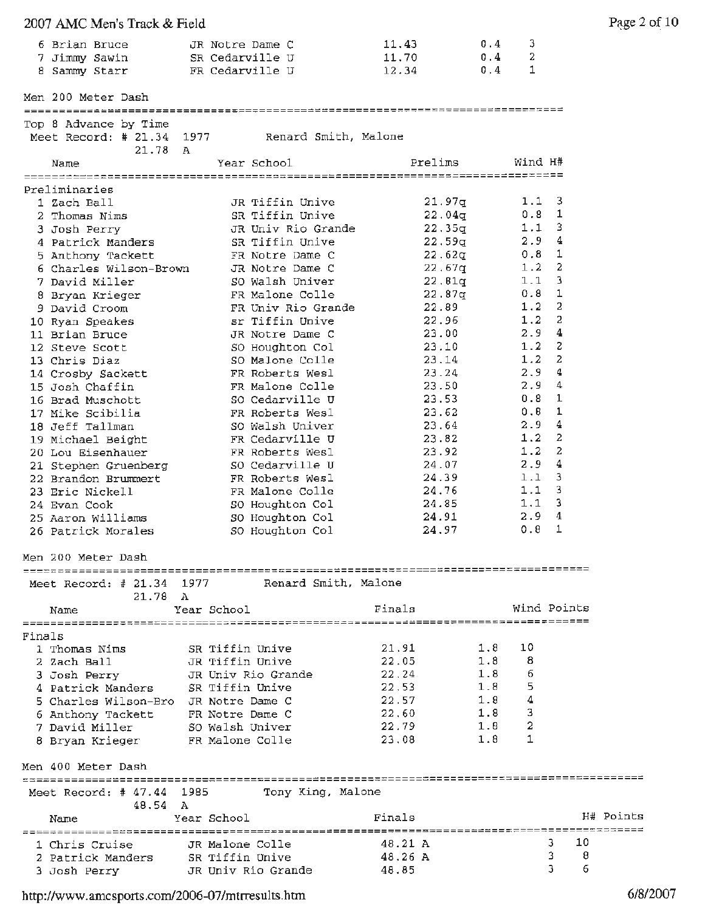| 2007 AMC Men's Track & Field         |                                                |         |                  | Page 2 of 10 |
|--------------------------------------|------------------------------------------------|---------|------------------|--------------|
| 6 Brian Bruce                        | JR Notre Dame C                                | 11.43   | 0.4<br>3         |              |
|                                      | 7 Jimmy Sawin SR Cedarville U                  | 11.70   | 2<br>0.4         |              |
| 8 Sammy Starr                        | FR Cedarville U                                | 12.34   | 1<br>0.4         |              |
| Men 200 Meter Dash                   |                                                |         |                  |              |
| Top 8 Advance by Time                |                                                |         |                  |              |
| 21.78 A                              | Meet Record: # 21.34 1977 Renard Smith, Malone |         |                  |              |
| Name                                 | Year School                                    | Prelims | Wind H#          |              |
| Preliminaries                        |                                                |         |                  |              |
| 1 Zach Ball                          | JR Tiffin Unive                                | 21.97q  | 1.1 <sup>3</sup> |              |
| 2 Thomas Nims                        | SR Tiffin Unive                                | 22.04q  | 0.8 <sub>1</sub> |              |
| 3 Josh Perry                         | JR Univ Rio Grande                             | 22.35q  | $1.1 \quad 3$    |              |
| 4 Patrick Manders                    | SR Tiffin Unive                                | 22.59q  | 2.9 4            |              |
| 5 Anthony Tackett                    | FR Notre Dame C                                | 22.62q  | $0.8$ 1          |              |
| 6 Charles Wilson-Brown               | JR Notre Dame C                                | 22.67q  | $1.2 - 2$        |              |
| 7 David Miller                       | SO Walsh Univer                                | 22.81q  | $1.1 - 3$        |              |
|                                      | FR Malone Colle                                | 22.87q  | 0.8 <sub>1</sub> |              |
| 8 Bryan Krieger                      |                                                |         | $1.2 \quad 2$    |              |
| 9 David Croom                        | FR Univ Rio Grande                             | 22.89   |                  |              |
| 10 Ryan Speakes                      | sr Tiffin Unive                                | 22.96   | $1.2 \quad 2$    |              |
| 11 Brian Bruce                       | JR Notre Dame C                                | 23.00   | 2.94             |              |
| 12 Steve Scott                       | SO Houghton Col                                | 23.10   | $1.2 \quad 2$    |              |
| 13 Chris Diaz                        | SO Malone Colle                                | 23.14   | $1.2 \quad 2$    |              |
| 14 Crosby Sackett                    | FR Roberts Wesl                                | 23.24   | 2.94             |              |
| 15 Josh Chaffin                      | FR Malone Colle                                | 23.50   | 2.94             |              |
| 16 Brad Muschott                     | SO Cedarville U                                | 23.53   | $0.8 \quad 1$    |              |
| 17 Mike Scibilia                     | FR Roberts Wesl                                | 23.62   | 0.8 <sub>1</sub> |              |
| 18 Jeff Tallman                      | SO Walsh Univer                                | 23.64   | 2.94             |              |
|                                      | FR Cedarville U                                | 23.82   | $1.2 \quad 2$    |              |
| 19 Michael Beight                    |                                                |         | $1.2 \quad 2$    |              |
| 20 Lou Eisenhauer                    | FR Roberts Wesl                                | 23.92   |                  |              |
| 21 Stephen Gruenberg                 | SO Cedarville U                                | 24.07   | 2.94             |              |
| 22 Brandon Brummert                  | FR Roberts Wesl                                | 24.39   | 1.1 <sup>3</sup> |              |
| 23 Eric Nickell                      | FR Malone Colle                                | 24.76   | $1.1 \quad 3$    |              |
| 24 Evan Cook                         | SO Houghton Col                                | 24.85   | 1.1 <sup>3</sup> |              |
| 25 Aaron Williams                    | SO Houghton Col                                | 24.91   | 2.94             |              |
| 26 Patrick Morales                   | SO Houghton Col                                | 24.97   | $0.8 \quad 1$    |              |
| Men 200 Meter Dash                   |                                                |         |                  |              |
| Meet Record: # 21.34 1977            | Renard Smith, Malone                           |         |                  |              |
| 21.78 A                              |                                                |         |                  |              |
| Name                                 | Year School                                    | Finals  | Wind Points      |              |
| Finals                               |                                                |         |                  |              |
| 1 Thomas Nims                        | SR Tiffin Unive                                | 21.91   | 1.8<br>10        |              |
| 2 Zach Ball                          | JR Tiffin Unive                                | 22.05   | 1.8<br>8         |              |
| 3 Josh Perry                         | JR Univ Rio Grande                             | 22.24   | 1.8<br>6         |              |
| 4 Patrick Manders                    | SR Tiffin Unive                                | 22.53   | 1.8              |              |
| 5 Charles Wilson-Bro JR Notre Dame C |                                                | 22.57   | 1.8              |              |
| 6 Anthony Tackett                    | FR Notre Dame C                                | 22,60   | 1.8<br>3         |              |
| 7 David Miller                       | SO Walsh Univer                                | 22.79   | 2<br>1.8         |              |
| 8 Bryan Krieger                      | FR Malone Colle                                | 23.08   | 1<br>1.8         |              |
| Men 400 Meter Dash                   |                                                |         |                  |              |
| Meet Record: $#47.44$                | Tony King, Malone<br>1985                      |         |                  |              |
| 48.54 A<br>Name                      | Year School                                    | Finals  |                  | H# Points    |
|                                      |                                                | 48.21 A | 3.               | 10           |
| 1 Chris Cruise                       | JR Malone Colle                                |         | 3                | 8            |
| 2 Patrick Manders                    | SR Tiffin Unive                                | 48.26 A |                  |              |
| 3 Josh Perry                         | JR Univ Rio Grande                             | 48.85   | з                | 6            |

http://www.amcsports.com/2006-07/mtrresults.htm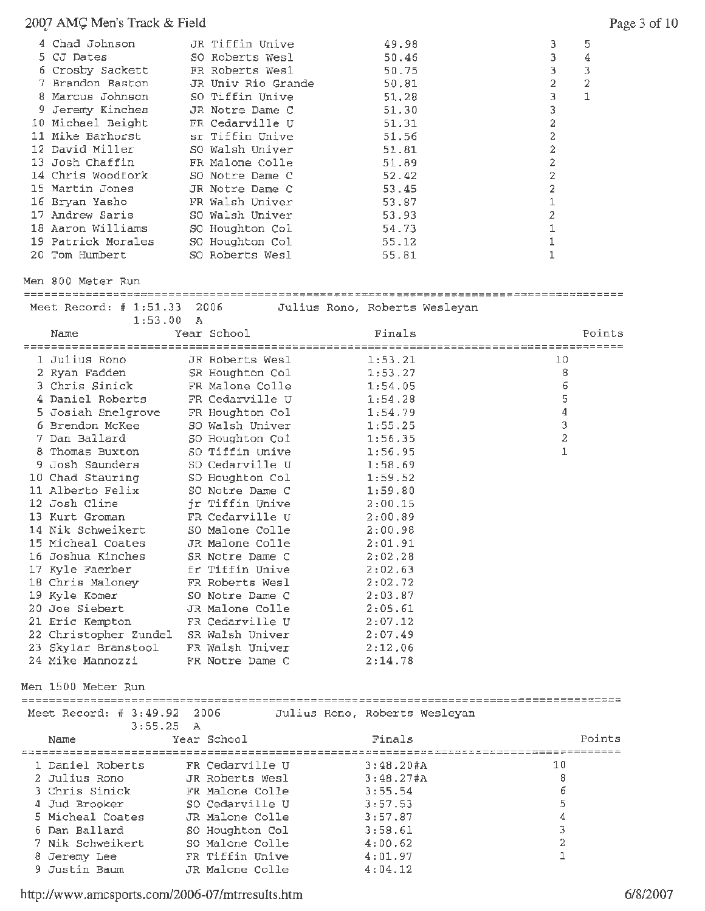# 2007 AMG Men's Track & Field

| 4 Chad Johnson<br>5 CJ Dates<br>6 Crosby Sackett<br>7 Brandon Baston<br>8 Marcus Johnson<br>9 Jeremy Kinches<br>10 Michael Beight<br>11 Mike Barhorst<br>12 David Miller<br>13 Josh Chaffin<br>14 Chris Woodfork<br>15 Martin Jones<br>16 Bryan Yasho<br>17 Andrew Saris<br>18 Aaron Williams<br>19 Patrick Morales<br>20 Tom Humbert<br>Men 800 Meter Run |              | JR Tiffin Unive<br>SO Roberts Wesl<br>FR Roberts Wesl<br>JR Univ Rio Grande<br>SO Tiffin Unive<br>JR Notre Dame C<br>FR Cedarville U<br>sr Tiffin Unive<br>SO Walsh Univer<br>FR Malone Colle<br>SO Notre Dame C<br>JR Notre Dame C<br>FR Walsh Univer<br>SO Walsh Univer<br>SO Houghton Col<br>SO Houghton Col<br>SO Roberts Wesl | 49.98<br>50.46<br>50.75<br>50.81<br>51.28<br>51.30<br>51.31<br>51.56<br>51.81<br>51.89<br>52.42<br>53.45<br>53,87<br>53.93<br>54.73<br>55.12<br>55.81 | $\overline{c}$<br>$\overline{2}$<br>2<br>$\overline{2}$<br>$\mathbbm{1}$<br>$\mathbf 1$<br>$\mathbf{1}$ | 3<br>3<br>3<br>2<br>3<br>3<br>$\mathbf 2$<br>2<br>$\boldsymbol{2}$<br>$\mathbf 1$ | 5<br>4<br>3<br>2<br>1 |
|------------------------------------------------------------------------------------------------------------------------------------------------------------------------------------------------------------------------------------------------------------------------------------------------------------------------------------------------------------|--------------|------------------------------------------------------------------------------------------------------------------------------------------------------------------------------------------------------------------------------------------------------------------------------------------------------------------------------------|-------------------------------------------------------------------------------------------------------------------------------------------------------|---------------------------------------------------------------------------------------------------------|-----------------------------------------------------------------------------------|-----------------------|
| Meet Record: $# 1:51.33$                                                                                                                                                                                                                                                                                                                                   | 2006         | Julius Rono, Roberts Wesleyan                                                                                                                                                                                                                                                                                                      |                                                                                                                                                       |                                                                                                         |                                                                                   |                       |
| 1:53.00<br>Name                                                                                                                                                                                                                                                                                                                                            | $\mathbb{A}$ | Year School                                                                                                                                                                                                                                                                                                                        | Finals                                                                                                                                                |                                                                                                         |                                                                                   | Points                |
| 1 Julius Rono                                                                                                                                                                                                                                                                                                                                              |              | JR Roberts Wesl                                                                                                                                                                                                                                                                                                                    | 1:53.21                                                                                                                                               |                                                                                                         | 10                                                                                |                       |
| 2 Ryan Fadden                                                                                                                                                                                                                                                                                                                                              |              | SR Houghton Col                                                                                                                                                                                                                                                                                                                    | 1:53.27                                                                                                                                               |                                                                                                         | 8                                                                                 |                       |
| 3 Chris Sinick                                                                                                                                                                                                                                                                                                                                             |              | FR Malone Colle                                                                                                                                                                                                                                                                                                                    | 1:54.05                                                                                                                                               |                                                                                                         | 6                                                                                 |                       |
| 4 Daniel Roberts                                                                                                                                                                                                                                                                                                                                           |              | FR Cedarville U                                                                                                                                                                                                                                                                                                                    | 1:54.28                                                                                                                                               |                                                                                                         | 5                                                                                 |                       |
| 5 Josiah Snelgrove                                                                                                                                                                                                                                                                                                                                         |              | FR Houghton Col                                                                                                                                                                                                                                                                                                                    | 1:54.79                                                                                                                                               |                                                                                                         | 4                                                                                 |                       |
| 6 Brendon McKee                                                                                                                                                                                                                                                                                                                                            |              | SO Walsh Univer                                                                                                                                                                                                                                                                                                                    | 1:55.25                                                                                                                                               |                                                                                                         | З                                                                                 |                       |
| 7 Dan Ballard                                                                                                                                                                                                                                                                                                                                              |              | SO Houghton Col                                                                                                                                                                                                                                                                                                                    | 1:56.35                                                                                                                                               |                                                                                                         | 2                                                                                 |                       |
| 8 Thomas Buxton                                                                                                                                                                                                                                                                                                                                            |              | SO Tiffin Unive                                                                                                                                                                                                                                                                                                                    | 1:56.95                                                                                                                                               |                                                                                                         | 1                                                                                 |                       |
| 9 Josh Saunders                                                                                                                                                                                                                                                                                                                                            |              | SO Cedarville U                                                                                                                                                                                                                                                                                                                    | 1:58.69                                                                                                                                               |                                                                                                         |                                                                                   |                       |
| 10 Chad Stauring                                                                                                                                                                                                                                                                                                                                           |              | SO Houghton Col                                                                                                                                                                                                                                                                                                                    | 1:59.52                                                                                                                                               |                                                                                                         |                                                                                   |                       |
| 11 Alberto Felix                                                                                                                                                                                                                                                                                                                                           |              | SO Notre Dame C                                                                                                                                                                                                                                                                                                                    | 1:59.80                                                                                                                                               |                                                                                                         |                                                                                   |                       |
| 12 Josh Cline                                                                                                                                                                                                                                                                                                                                              |              | jr Tiffin Unive                                                                                                                                                                                                                                                                                                                    | 2:00.15                                                                                                                                               |                                                                                                         |                                                                                   |                       |
| 13 Kurt Groman                                                                                                                                                                                                                                                                                                                                             |              | FR Cedarville U                                                                                                                                                                                                                                                                                                                    | 2:00.89                                                                                                                                               |                                                                                                         |                                                                                   |                       |
| 14 Nik Schweikert                                                                                                                                                                                                                                                                                                                                          |              | SO Malone Colle                                                                                                                                                                                                                                                                                                                    | 2:00.98                                                                                                                                               |                                                                                                         |                                                                                   |                       |
| 15 Micheal Coates                                                                                                                                                                                                                                                                                                                                          |              | JR Malone Colle                                                                                                                                                                                                                                                                                                                    | 2:01.91                                                                                                                                               |                                                                                                         |                                                                                   |                       |
| 16 Joshua Kinches                                                                                                                                                                                                                                                                                                                                          |              | SR Notre Dame C                                                                                                                                                                                                                                                                                                                    | 2:02.28                                                                                                                                               |                                                                                                         |                                                                                   |                       |
| 17 Kyle Faerber                                                                                                                                                                                                                                                                                                                                            |              | fr Tiffin Unive                                                                                                                                                                                                                                                                                                                    | 2:02.63                                                                                                                                               |                                                                                                         |                                                                                   |                       |
| 18 Chris Maloney                                                                                                                                                                                                                                                                                                                                           |              | FR Roberts Wesl                                                                                                                                                                                                                                                                                                                    | 2:02.72                                                                                                                                               |                                                                                                         |                                                                                   |                       |
| 19 Kyle Komer                                                                                                                                                                                                                                                                                                                                              |              | SO Notre Dame C                                                                                                                                                                                                                                                                                                                    | 2:03.87                                                                                                                                               |                                                                                                         |                                                                                   |                       |
| 20 Joe Siebert                                                                                                                                                                                                                                                                                                                                             |              | JR Malone Colle                                                                                                                                                                                                                                                                                                                    |                                                                                                                                                       |                                                                                                         |                                                                                   |                       |
|                                                                                                                                                                                                                                                                                                                                                            |              | FR Cedarville U                                                                                                                                                                                                                                                                                                                    | 2:05.61<br>2:07.12                                                                                                                                    |                                                                                                         |                                                                                   |                       |
| 21 Eric Kempton                                                                                                                                                                                                                                                                                                                                            |              |                                                                                                                                                                                                                                                                                                                                    |                                                                                                                                                       |                                                                                                         |                                                                                   |                       |
| 22 Christopher Zundel SR Walsh Univer                                                                                                                                                                                                                                                                                                                      |              |                                                                                                                                                                                                                                                                                                                                    | 2:07.49                                                                                                                                               |                                                                                                         |                                                                                   |                       |
| 23 Skylar Branstool<br>24 Mike Mannozzi                                                                                                                                                                                                                                                                                                                    |              | FR Walsh Univer<br>FR Notre Dame C                                                                                                                                                                                                                                                                                                 | 2:12.06<br>2:14.78                                                                                                                                    |                                                                                                         |                                                                                   |                       |
| Men 1500 Meter Run                                                                                                                                                                                                                                                                                                                                         |              |                                                                                                                                                                                                                                                                                                                                    |                                                                                                                                                       |                                                                                                         |                                                                                   |                       |
| Meet Record: $# 3:49.92$                                                                                                                                                                                                                                                                                                                                   | 2006         | Julius Rono, Roberts Wesleyan                                                                                                                                                                                                                                                                                                      |                                                                                                                                                       |                                                                                                         |                                                                                   |                       |
| 3:55.25<br>Name                                                                                                                                                                                                                                                                                                                                            | A            | Year School                                                                                                                                                                                                                                                                                                                        | Finals                                                                                                                                                |                                                                                                         |                                                                                   | Points                |
|                                                                                                                                                                                                                                                                                                                                                            |              |                                                                                                                                                                                                                                                                                                                                    |                                                                                                                                                       |                                                                                                         |                                                                                   |                       |
| 1 Daniel Roberts                                                                                                                                                                                                                                                                                                                                           |              | FR Cedarville U                                                                                                                                                                                                                                                                                                                    | 3:48.20#A                                                                                                                                             |                                                                                                         | 10                                                                                |                       |
| 2 Julius Rono                                                                                                                                                                                                                                                                                                                                              |              | JR Roberts Wesl                                                                                                                                                                                                                                                                                                                    | 3:48.27#A                                                                                                                                             |                                                                                                         | 8                                                                                 |                       |
| 3 Chris Sinick                                                                                                                                                                                                                                                                                                                                             |              | FR Malone Colle                                                                                                                                                                                                                                                                                                                    | 3:55.54                                                                                                                                               |                                                                                                         | 6                                                                                 |                       |
| 4 Jud Brooker                                                                                                                                                                                                                                                                                                                                              |              | SO Cedarville U                                                                                                                                                                                                                                                                                                                    | 3:57.53                                                                                                                                               |                                                                                                         | 5                                                                                 |                       |
| 5 Micheal Coates                                                                                                                                                                                                                                                                                                                                           |              | JR Malone Colle                                                                                                                                                                                                                                                                                                                    | 3:57.87                                                                                                                                               |                                                                                                         | 4                                                                                 |                       |
| 6 Dan Ballard                                                                                                                                                                                                                                                                                                                                              |              | SO Houghton Col                                                                                                                                                                                                                                                                                                                    | 3:58.61                                                                                                                                               |                                                                                                         | 3                                                                                 |                       |
| 7 Nik Schweikert                                                                                                                                                                                                                                                                                                                                           |              | SO Malone Colle                                                                                                                                                                                                                                                                                                                    | 4:00.62                                                                                                                                               |                                                                                                         | $\mathbf{2}$                                                                      |                       |
| 8 Jeremy Lee                                                                                                                                                                                                                                                                                                                                               |              | FR Tiffin Unive                                                                                                                                                                                                                                                                                                                    | 4:01.97                                                                                                                                               |                                                                                                         | 1                                                                                 |                       |
| 9 Justin Baum                                                                                                                                                                                                                                                                                                                                              |              | JR Malone Colle                                                                                                                                                                                                                                                                                                                    | 4:04.12                                                                                                                                               |                                                                                                         |                                                                                   |                       |

http://www.amcsports.corn/2006-07 /mtrresults .htm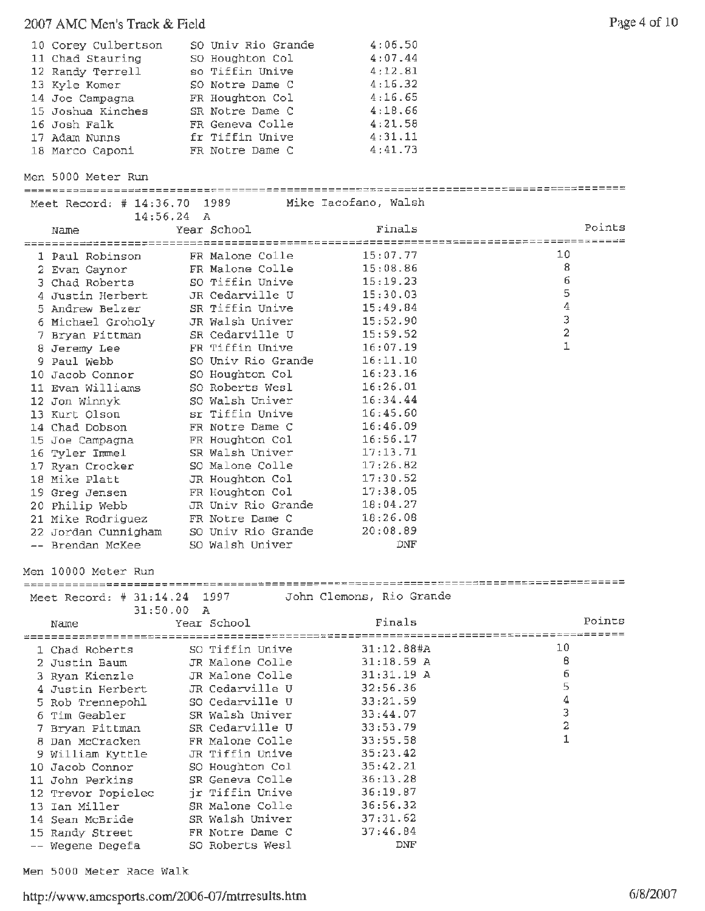#### 2007 AMC Men's Track & Field P:: 1ge 4 of 10

| 10 Corey Culbertson | SO Univ Rio Grande | 4:06.50 |
|---------------------|--------------------|---------|
| 11 Chad Stauring    | SO Houghton Col    | 4:07.44 |
| 12 Randy Terrell    | so Tiffin Unive    | 4:12.81 |
| 13 Kyle Komer       | SO Notre Dame C    | 4:16.32 |
| 14 Joe Campagna     | FR Houghton Col    | 4:16.65 |
| 15 Joshua Kinches   | SR Notre Dame C    | 4:18.66 |
| 16 Josh Falk        | FR Geneva Colle    | 4:21.58 |
| 17 Adam Nunns       | fr Tiffin Unive    | 4:31.11 |
| 18 Marco Caponi     | FR Notre Dame C    | 4:41.73 |

Men 5000 Meter Run =====--=---------=======================================~====================--~=------ Meet Record: # 14:36.70 1989 **Mike** Iacofano, Walsh  $14:56.24$  A<br>Year School Points Finals Name Year School 1 Paul Robinson FR Malone Colle 15:07.77 10 2 Evan Gaynor FR Malone Colle 15:08.86 8 3 Chad Roberts so Tiffin Unive 15:19.23 6 4 Justin Herbert JR Cedarville U 15:30.03 5 5 Andrew Belzer SR Tiffin Unive 15:49.84 4 <sup>6</sup>Michael Groholy JR Walsh Univer 15:52.90 3 Pryan Pittman SR Cedarville U 15:59.52 2 8 Jeremy Lee FR Tiffin Unive 16:07.19 1 9 Paul Webb SO Univ Rio Grande 16:11.10 10 Jacob Connor SO Houghton Col 16:23.16 11 Evan Williams 50 Roberts Wesl 16:26.01 12 Jon Winnyk so Walsh Univer 16:34.44 13 Kurt Olson sr Tiffin Unive 16:45.60 14 Chad Dobson FR Notre Dame C 16:46.09 15 Joe Campagna FR Houghton Col 16:56.17 16 Tyler Immel SR Walsh Univer 17:13.71 17 Ryan Crocker so Malone Colle 17:26.82 18 Mike Platt **JR** Houghton Col 17:30.52 19 Greg Jensen FR Houghton Col 17:38.05 20 Philip Webb JR Univ Rio Grande 18:04.27 Example 2 2 and the Notre Dame C 18:26.08<br>
22 Jordan Cunnigham 20 Univ Rio Grande 20:08.89<br>
20:08.89<br>
-- Brendan McKee 20 Walsh Univer DNF 21 Mike Rodriguez FR Notre Dame C 18:26.08 22 Jordan Cunnigham so Univ Rio Grande 20:08.89 Men 10000 Meter Run Meet Record: # 31:14.24 1997 John Clemons, Rio Grande 31:50.00 A Name Year School Points Finals 1 Chad Roberts so Tiffin Unive 31:12.88#A 10 <sup>2</sup>Justin Baum JR Malone Colle 31:18.59 **<sup>A</sup>** 8 3 Ryan Kienzle JR Malone Colle 31:31.19 **<sup>A</sup>** 6 4 Justin Herbert JR Cedarville U 32:56.36 5 5 Rob Trennepohl so Cedarville U 33:21.59 4 6 Tim Geabler SR Walsh Univer 33:44.07 3 7 Bryan Pit trnan SR Cedarville U 33:53.79 2 8 Dan McCracken FR Malone Colle 33:55.58 1 <sup>9</sup>William Kyttle JR Tiffin Unive 35:23.42 10 Jacob Connor SO Houghton Col 35:42.21 11 John Perkins SR Geneva Colle 36:13.28 12 Trevor Popielec jr Tiffin Unive 36:19.87 13 Ian Miller SR Malone Colle 36:56.32 14 Sean McBride SR Walsh Univer 37:31.62 15 Randy Street FR Notre Dame C 37:46.84

**Men** 5000 Meter Race Walk

#### http://www.amcsports.com/2006-07/mtrresults.htm

Wegene Degefa so Roberts Wesl DNF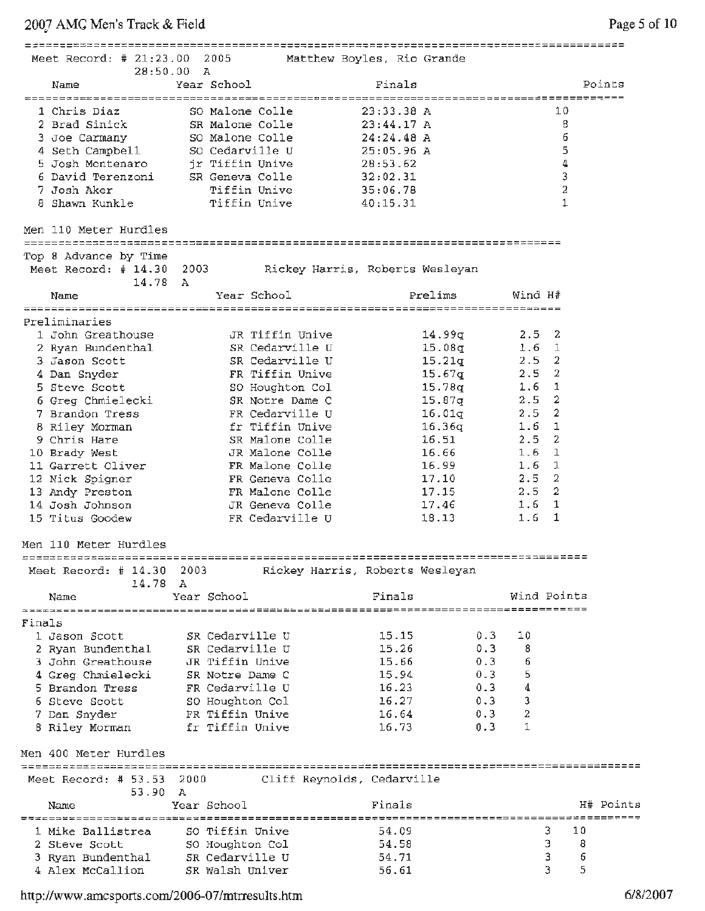2007 AMC Men's Track & Field <sup>~</sup>

| Meet Record: # 21:23.00 2005                                    |                                                                                                       | Matthew Boyles, Rio Grande      |              |                               |                    |                 |           |
|-----------------------------------------------------------------|-------------------------------------------------------------------------------------------------------|---------------------------------|--------------|-------------------------------|--------------------|-----------------|-----------|
| 28:50.00<br>Name                                                | A<br>Year School                                                                                      |                                 | Finals       |                               |                    |                 | Points    |
|                                                                 |                                                                                                       |                                 |              | ----------------------------- |                    |                 |           |
| 1 Chris Diaz                                                    | SO Malone Colle                                                                                       |                                 | 23:33.38A    |                               |                    | 10              |           |
| 2 Brad Sinick                                                   | SR Malone Colle                                                                                       |                                 | 23:44.17A    |                               |                    | 8               |           |
| 3 Joe Carmany                                                   | SO Malone Colle                                                                                       |                                 | $24:24.48$ A |                               |                    | 6               |           |
| 4 Seth Campbell                                                 | SO Cedarville U                                                                                       |                                 | 25:05.96 A   |                               |                    | 5               |           |
| 5 Josh Montenaro                                                | jr Tiffin Unive                                                                                       |                                 | 28:53.62     |                               |                    | 4               |           |
| 6 David Terenzoni SR Geneva Colle                               |                                                                                                       |                                 | 32:02.31     |                               |                    | 3               |           |
| 7 Josh Aker                                                     | Tiffin Unive                                                                                          |                                 | 35:06.78     |                               |                    | 2               |           |
| 8 Shawn Kunkle                                                  | Tiffin Unive                                                                                          |                                 | 40:15.31     |                               |                    | 1               |           |
| Men 110 Meter Hurdles                                           |                                                                                                       |                                 |              |                               |                    |                 |           |
| Top 8 Advance by Time<br>Meet Record: $# 14.30 2003$<br>14.78 A |                                                                                                       | Rickey Harris, Roberts Wesleyan |              |                               |                    |                 |           |
| Name                                                            |                                                                                                       | Year School                     |              | Prelims                       | Wind H#            |                 |           |
| Preliminaries                                                   |                                                                                                       |                                 |              |                               |                    |                 |           |
| 1 John Greathouse                                               |                                                                                                       | JR Tiffin Unive                 |              | 14.99q                        | $2.5 \quad 2$      |                 |           |
| 2 Ryan Bundenthal                                               |                                                                                                       | SR Cedarville U                 |              | 15.08q                        | 1.6                | $\mathbf{1}$    |           |
| 3 Jason Scott                                                   |                                                                                                       | SR Cedarville U                 |              | 15.21q                        | $2.5 -$            | 2               |           |
| 4 Dan Snyder                                                    |                                                                                                       | FR Tiffin Unive                 |              | 15.67g                        | 2.5                | $\overline{2}$  |           |
| 5 Steve Scott                                                   |                                                                                                       | SO Houghton Col                 |              | 15.78q                        | 1.6                | $\mathbf{1}$    |           |
| 6 Greg Chmielecki                                               |                                                                                                       | SR Notre Dame C                 |              | 15.87g                        | 2.5                | $\overline{2}$  |           |
| 7 Brandon Tress                                                 |                                                                                                       | FR Cedarville U                 |              | 16.01q                        | 2.5                | 2               |           |
| 8 Riley Morman                                                  | er Tiffin Univertidae (1999) of the Univertidae of the Univertidae (1999) of the Univertidae of the U |                                 |              | 16.36q                        | 1.6                | 1               |           |
| 9 Chris Hare                                                    |                                                                                                       | SR Malone Colle                 |              | 16.51                         | 2.5                | 2               |           |
| 10 Brady West                                                   |                                                                                                       | JR Malone Colle                 |              | 16.66                         | 1.6                | 1               |           |
| 11 Garrett Oliver                                               |                                                                                                       | FR Malone Colle                 |              | 16.99                         | 1.6                | 1               |           |
| 12 Nick Spigner                                                 |                                                                                                       | FR Geneva Colle                 |              | 17.10                         | $2.5 -$            | $\mathbf{2}$    |           |
| 13 Andy Preston                                                 |                                                                                                       | FR Malone Colle                 |              | 17.15                         | 2.5                | $\overline{2}$  |           |
| 14 Josh Johnson                                                 |                                                                                                       | JR Geneva Colle                 |              | 17.46                         | 1.6                | 1               |           |
| 15 Titus Goodew                                                 |                                                                                                       | FR Cedarville U                 |              | 18.13                         | 1.6                | 1               |           |
| Men 110 Meter Hurdles                                           |                                                                                                       |                                 |              |                               |                    |                 |           |
| Meet Record: $\#$ 14.30                                         | 2003                                                                                                  | Rickey Harris, Roberts Wesleyan |              |                               |                    |                 |           |
| 14.78 A                                                         |                                                                                                       |                                 | Finals       |                               |                    | Wind Points     |           |
| Name                                                            | Year School                                                                                           |                                 |              |                               |                    |                 |           |
| Finals                                                          |                                                                                                       |                                 |              |                               |                    |                 |           |
| 1 Jason Scott                                                   | SR Cedarville U                                                                                       |                                 | 15.15        | 0.3                           | 10                 |                 |           |
| 2 Ryan Bundenthal                                               | SR Cedarville U                                                                                       |                                 | 15.26        | 0.3                           | -8                 |                 |           |
| 3 John Greathouse                                               | JR Tiffin Unive                                                                                       |                                 | 15.66        | 0.3                           | - 6                |                 |           |
| 4 Greg Chmielecki                                               | SR Notre Dame C                                                                                       |                                 | 15.94        | $0 - 3$                       | 5                  |                 |           |
| 5 Brandon Tress                                                 | FR Cedarville U                                                                                       |                                 | 16.23        | 0.3                           | $\overline{\bf 4}$ |                 |           |
| 6 Steve Scott                                                   | SO Houghton Col                                                                                       |                                 | 16.27        | 0.3                           | 3                  |                 |           |
| 7 Dan Snyder                                                    | FR Tiffin Unive                                                                                       |                                 | 16.64        | 0.3                           | 2                  |                 |           |
| 8 Riley Morman                                                  | fr Tiffin Unive                                                                                       |                                 | 16.73        | 0.3                           | $\mathbf{1}$       |                 |           |
| Men 400 Meter Hurdles                                           |                                                                                                       |                                 |              |                               |                    |                 |           |
| Meet Record: $# 53.53$<br>53.90                                 | 2000<br>Α                                                                                             | Cliff Reynolds, Cedarville      |              |                               |                    |                 |           |
| Name                                                            | Year School                                                                                           |                                 | Finals       |                               |                    | =============== | H# Points |
| 1 Mike Ballistrea                                               | SO Tiffin Unive                                                                                       |                                 | 54.09        |                               |                    | 3<br>10         |           |
| 2 Steve Scott                                                   | SO Houghton Col                                                                                       |                                 | 54.58        |                               |                    | Э<br>8          |           |
| 3 Ryan Bundenthal                                               | SR Cedarville U                                                                                       |                                 | 54.71        |                               |                    | 3<br>6          |           |
| 4 Alex McCallion                                                | SR Walsh Univer                                                                                       |                                 | 56.61        |                               |                    | 3.<br>5         |           |

http://www.amcsports.com/2006-07 /mtrresults .htm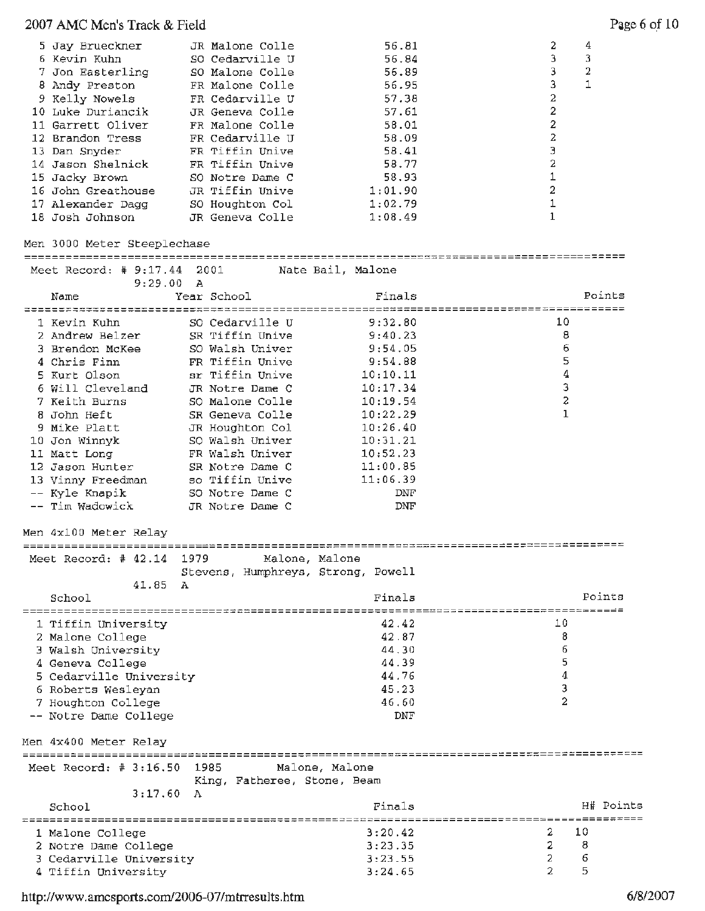## 2007 AMC Men's Track & Field Page 6 of 10

| 5 Jay Brueckner    | JR Malone Colle | 56.81   |   | 4 |
|--------------------|-----------------|---------|---|---|
| 6 Kevin Kuhn       | SO Cedarville U | 56.84   |   | 3 |
| 7 Jon Easterling   | SO Malone Colle | 56.89   |   | 2 |
| 8 Andy Preston     | FR Malone Colle | 56.95   |   |   |
| 9 Kelly Nowels     | FR Cedarville U | 57.38   | 2 |   |
| 10 Luke Duriancik  | JR Geneva Colle | 57.61   | 2 |   |
| 11 Garrett Oliver  | FR Malone Colle | 58.01   | 2 |   |
| 12 Brandon Tress   | FR Cedarville U | 58.09   | 2 |   |
| 13 Dan Snyder      | FR Tiffin Unive | 58.41   | Э |   |
| 14 Jason Shelnick  | FR Tiffin Unive | 58.77   | 2 |   |
| 15 Jacky Brown     | SO Notre Dame C | 58.93   |   |   |
| 16 John Greathouse | JR Tiffin Unive | 1:01.90 | 2 |   |
| 17 Alexander Dagg  | SO Houghton Col | 1:02.79 |   |   |
| 18 Josh Johnson    | JR Geneva Colle | 1:08.49 |   |   |

#### Men 3000 Meter Steeplechase

| Meet Record: # 9:17.44 2001                    | 9:29.00 | - A         |                 | Nate Bail, Malone                           |                                            |              |
|------------------------------------------------|---------|-------------|-----------------|---------------------------------------------|--------------------------------------------|--------------|
| Name<br>========================               |         | Year School |                 | Finals<br>================================= | ------------------------                   | Points       |
| 1 Kevin Kuhn                                   |         |             | SO Cedarville U | 9:32.80                                     | 10                                         |              |
| 2 Andrew Belzer                                |         |             | SR Tiffin Unive | 9:40.23                                     |                                            | 8            |
| 3 Brendon McKee                                |         |             | SO Walsh Univer | 9:54.05                                     |                                            | 6            |
| 4 Chris Finn                                   |         |             | FR Tiffin Unive | 9:54.88                                     |                                            | 5            |
| 5 Kurt Olson                                   |         |             | sr Tiffin Unive | 10:10.11                                    |                                            | 4            |
| 6 Will Cleveland                               |         |             | JR Notre Dame C | 10:17.34                                    |                                            | 3            |
| 7 Keith Burns                                  |         |             | SO Malone Colle | 10:19.54                                    |                                            | 2            |
| 8 John Heft                                    |         |             | SR Geneva Colle | 10:22.29                                    |                                            | $\mathbf{1}$ |
| 9 Mike Platt                                   |         |             | JR Houghton Col | 10:26.40                                    |                                            |              |
| 10 Jon Winnyk                                  |         |             | SO Walsh Univer | 10:31.21                                    |                                            |              |
| 11 Matt Long                                   |         |             | FR Walsh Univer | 10:52.23                                    |                                            |              |
| 12 Jason Hunter                                |         |             | SR Notre Dame C | 11:00.85                                    |                                            |              |
| 13 Vinny Freedman                              |         |             | so Tiffin Unive | 11:06.39                                    |                                            |              |
| -- Kyle Knapik                                 |         |             | SO Notre Dame C | DNF                                         |                                            |              |
| -- Tim Wadowick                                |         |             | JR Notre Dame C | DNF                                         |                                            |              |
| Men 4x100 Meter Relay                          |         |             |                 |                                             |                                            |              |
| Meet Record: # 42.14 1979                      |         |             |                 | Malone, Malone                              |                                            |              |
|                                                |         |             |                 | Stevens, Humphreys, Strong, Powell          |                                            |              |
|                                                | 41.85   | А           |                 |                                             |                                            |              |
| School                                         |         |             |                 | Finals                                      |                                            | Points       |
|                                                |         |             |                 |                                             |                                            |              |
| 1 Tiffin University                            |         |             |                 | 42.42                                       | 10                                         |              |
| 2 Malone College                               |         |             |                 | 42.87                                       |                                            | 8            |
| 3 Walsh University                             |         |             |                 | 44.30                                       |                                            | 6            |
| 4 Geneva College                               |         |             |                 | 44.39                                       |                                            | 5            |
| 5 Cedarville University                        |         |             |                 | 44.76                                       |                                            | 4            |
| 6 Roberts Wesleyan                             |         |             |                 | 45.23                                       |                                            | З            |
| 7 Houghton College                             |         |             |                 | 46.60                                       |                                            | 2            |
| -- Notre Dame College                          |         |             |                 | DNF                                         |                                            |              |
| Men 4x400 Meter Relay                          |         |             |                 |                                             |                                            |              |
|                                                |         |             |                 |                                             |                                            |              |
| Meet Record: # 3:16.50 1985 Malone, Malone     |         |             |                 |                                             |                                            |              |
|                                                |         |             |                 | King, Fatheree, Stone, Beam                 |                                            |              |
|                                                | 3:17.60 | A           |                 |                                             |                                            |              |
| School                                         |         |             |                 | Finals                                      |                                            | H# Points    |
|                                                |         |             |                 | 3:20.42                                     | _____________________________________<br>2 | 10           |
| 1 Malone College                               |         |             |                 |                                             | 2                                          | 8            |
| 2 Notre Dame College                           |         |             |                 | 3:23.35<br>3:23.55                          | $\overline{c}$                             | 6            |
| 3 Cedarville University<br>4 Tiffin University |         |             |                 | 3:24.65                                     | $\mathfrak{D}$                             | 5            |
|                                                |         |             |                 |                                             |                                            |              |

http://www.amcsports.com/2006-07 /mtrresults.htm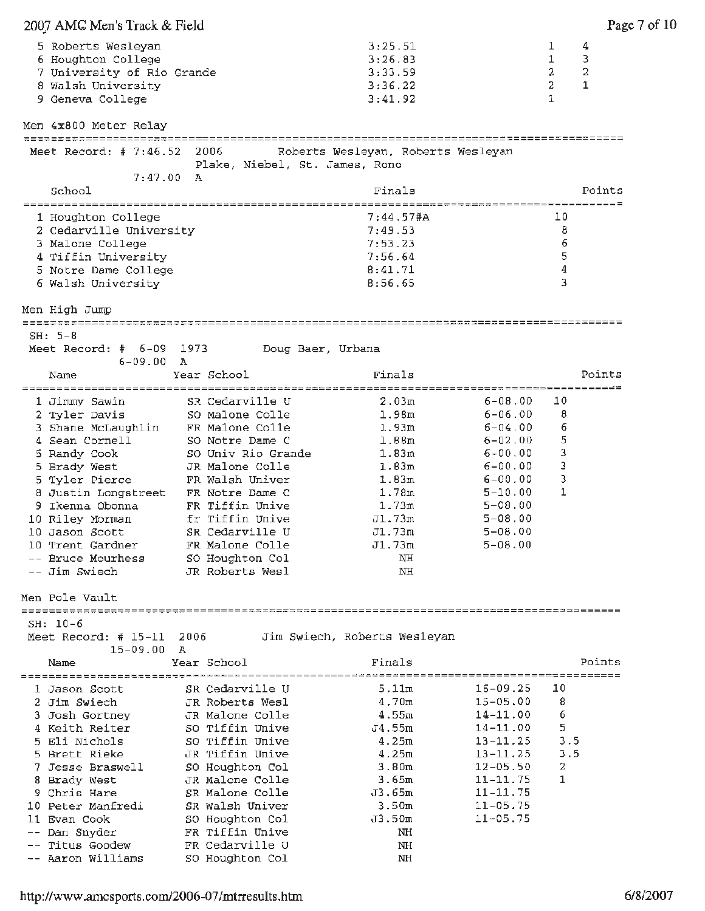| 2007 AMC Men's Track & Field                                                                 |           |                                |                   |                                          |                                      |                               | Page 7 of 10                |
|----------------------------------------------------------------------------------------------|-----------|--------------------------------|-------------------|------------------------------------------|--------------------------------------|-------------------------------|-----------------------------|
| 5 Roberts Wesleyan<br>6 Houghton College<br>7 University of Rio Grande<br>8 Walsh University |           |                                |                   | 3:25.51<br>3:26.83<br>3:33.59<br>3:36.22 |                                      | 1<br>1<br>2<br>$\overline{2}$ | 4<br>3<br>2<br>$\mathbf{1}$ |
| 9 Geneva College                                                                             |           |                                |                   | 3:41.92                                  |                                      | $\mathbf{I}$                  |                             |
| Men 4x800 Meter Relay                                                                        |           |                                |                   |                                          |                                      |                               |                             |
| Meet Record: # 7:46.52                                                                       |           | 2006                           |                   | Roberts Wesleyan, Roberts Wesleyan       |                                      |                               |                             |
| 7:47.00 A                                                                                    |           | Plake, Niebel, St. James, Rono |                   |                                          |                                      |                               |                             |
| School                                                                                       |           |                                |                   | Finals                                   | _______________________________      |                               | Points                      |
| 1 Houghton College                                                                           |           |                                |                   | 7:44.57#A                                |                                      | 10                            |                             |
| 2 Cedarville University                                                                      |           |                                |                   | 7:49.53                                  |                                      | 8                             |                             |
| 3 Malone College                                                                             |           |                                |                   | 7:53.23                                  |                                      | 6                             |                             |
| 4 Tiffin University                                                                          |           |                                |                   | 7:56.64                                  |                                      | 5                             |                             |
| 5 Notre Dame College                                                                         |           |                                |                   | 8:41.71                                  |                                      | 4                             |                             |
| 6 Walsh University                                                                           |           |                                |                   | 8:56.65                                  |                                      | 3                             |                             |
| Men High Jump                                                                                |           |                                |                   |                                          |                                      |                               |                             |
| ================================                                                             |           |                                |                   |                                          | ____________________________________ |                               |                             |
| $SH: 5-8$<br>Meet Record: $#$ 6-09 1973                                                      |           |                                | Doug Baer, Urbana |                                          |                                      |                               |                             |
| $6-09.00 A$                                                                                  |           |                                |                   |                                          |                                      |                               |                             |
| Name                                                                                         |           | Year School                    |                   | Finals                                   |                                      |                               | Points                      |
|                                                                                              |           |                                |                   |                                          |                                      |                               |                             |
| 1 Jimmy Sawin                                                                                |           | SR Cedarville U                |                   | 2.03m                                    | $6 - 08.00$                          | 10                            |                             |
| 2 Tyler Davis                                                                                |           | SO Malone Colle                |                   | 1.98 <sub>m</sub>                        | $6 - 06.00$                          | 8                             |                             |
| 3 Shane McLaughlin FR Malone Colle                                                           |           |                                |                   | 1.93m                                    | $6 - 04.00$                          | 6                             |                             |
| 4 Sean Cornell                                                                               |           | SO Notre Dame C                |                   | 1.88 <sub>m</sub>                        | $6 - 02,00$                          | 5                             |                             |
| 5 Randy Cook                                                                                 |           | SO Univ Rio Grande             |                   | 1.83m                                    | $6 - 00.00$                          | 3                             |                             |
| 5 Brady West                                                                                 |           | JR Malone Colle                |                   | 1.83m                                    | $6 - 00.00$                          | 3                             |                             |
| 5 Tyler Pierce                                                                               |           | FR Walsh Univer                |                   | 1.83m                                    | $6 - 00.00$                          | 3                             |                             |
| 8 Justin Longstreet FR Notre Dame C                                                          |           |                                |                   | 1.78m                                    | $5 - 10.00$                          | 1                             |                             |
| 9 Ikenna Obonna                                                                              |           | FR Tiffin Unive                |                   | 1.73m                                    | $5 - 08.00$                          |                               |                             |
| 10 Riley Morman                                                                              |           | fr Tiffin Unive                |                   | J1.73m                                   | $5 - 08.00$                          |                               |                             |
| 10 Jason Scott                                                                               |           | SR Cedarville U                |                   | J1.73m                                   | $5 - 08.00$                          |                               |                             |
| 10 Trent Gardner                                                                             |           | FR Malone Colle                |                   | J1.73m                                   | $5 - 08.00$                          |                               |                             |
| -- Bruce Mourhess                                                                            |           | SO Houghton Col                |                   | NH                                       |                                      |                               |                             |
| -- Jim Swiech                                                                                |           | JR Roberts Wesl                |                   | NH                                       |                                      |                               |                             |
| Men Pole Vault                                                                               |           |                                |                   |                                          |                                      |                               |                             |
| $SH: 10-6$                                                                                   |           |                                |                   |                                          |                                      |                               |                             |
| Meet Record: # $15-11$<br>$15 - 09.00$                                                       | 2006<br>A |                                |                   | Jim Swiech, Roberts Wesleyan             |                                      |                               |                             |
| Name                                                                                         |           | Year School                    |                   | Finals                                   |                                      |                               | Points                      |
| 1 Jason Scott                                                                                |           | SR Cedarville U                |                   | 5.11m                                    | $16 - 09.25$                         | 10                            |                             |
| 2 Jim Swiech                                                                                 |           | JR Roberts Wesl                |                   | 4.70m                                    | $15 - 05.00$                         | 8                             |                             |
| 3 Josh Gortney                                                                               |           | JR Malone Colle                |                   | 4.55m                                    | $14 - 11.00$                         | 6                             |                             |
| 4 Keith Reiter                                                                               |           | SO Tiffin Unive                |                   | J4.55m                                   | $14 - 11.00$                         | 5                             |                             |
| 5 Eli Nichols                                                                                |           | SO Tiffin Unive                |                   | 4.25m                                    | $13 - 11.25$                         | 3.5                           |                             |
| 5 Brett Rieke                                                                                |           | JR Tiffin Unive                |                   | 4.25m                                    | $13 - 11, 25$                        | 3.5                           |                             |
| 7 Jesse Braswell                                                                             |           | SO Houghton Col                |                   | 3.80m                                    | $12 - 05.50$                         | 2                             |                             |
| 8 Brady West                                                                                 |           | JR Malone Colle                |                   | 3.65m                                    | $11 - 11.75$                         | 1                             |                             |
| 9 Chris Hare                                                                                 |           | SR Malone Colle                |                   | J3.65m                                   | $11 - 11.75$                         |                               |                             |
| 10 Peter Manfredi                                                                            |           | SR Walsh Univer                |                   | 3.50m                                    | $11 - 05.75$                         |                               |                             |
| 11 Evan Cook                                                                                 |           | SO Houghton Col                |                   | J3.50m                                   | $11 - 05.75$                         |                               |                             |
| -- Dan Snyder                                                                                |           | FR Tiffin Unive                |                   | NH.                                      |                                      |                               |                             |
| -- Titus Goodew                                                                              |           | FR Cedarville U                |                   | NH                                       |                                      |                               |                             |
| -- Aaron Williams                                                                            |           | SO Houghton Col                |                   | NH                                       |                                      |                               |                             |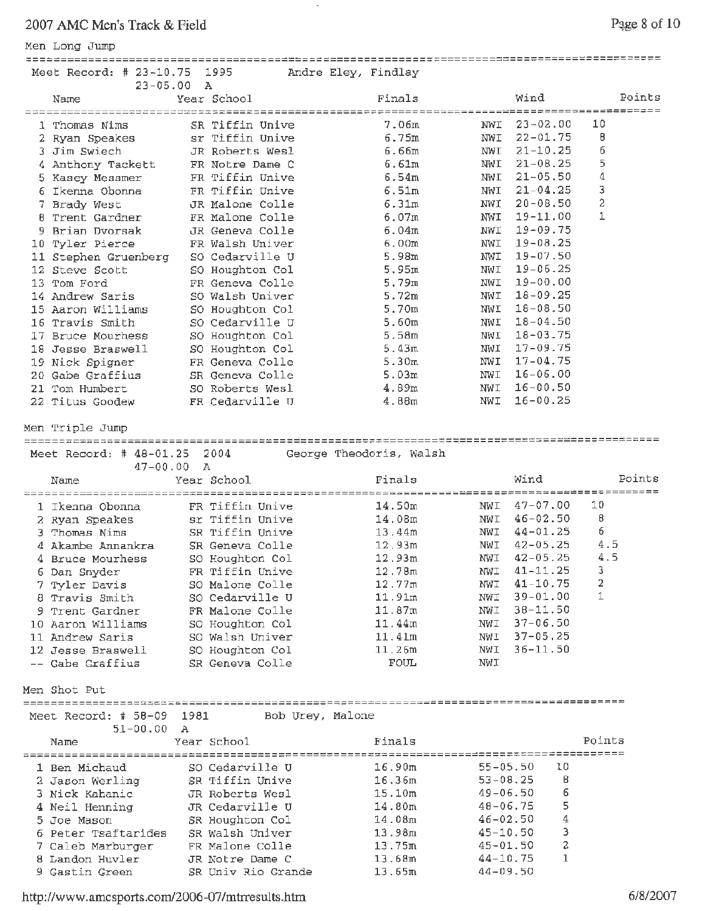## 2007 AMC Men's Track & Field

### Men Long Jump

| Page 8 of 10 |  |  |
|--------------|--|--|
|              |  |  |

| Meet Record: $# 23-10.75$                 | -----------------------<br>1995 |                    | Andre Eley, Findlay     |                          |              |                 |        |
|-------------------------------------------|---------------------------------|--------------------|-------------------------|--------------------------|--------------|-----------------|--------|
| $23 - 05.00$<br>Name                      | A<br>Year School                |                    | Finals                  |                          | Wind         |                 | Points |
|                                           |                                 |                    |                         |                          | --------     | $=$ = = = = = = |        |
| 1 Thomas Nims                             |                                 | SR Tiffin Unive    | 7.06m                   | NWI                      | $23 - 02.00$ | 10              |        |
| 2 Ryan Speakes                            |                                 | sr Tiffin Unive    | 6.75m                   | NWI                      | $22 - 01.75$ | В               |        |
| 3 Jim Swiech                              |                                 | JR Roberts Wesl    | 6.66m                   | NWI                      | $21 - 10.25$ | 6               |        |
| 4 Anthony Tackett                         |                                 | FR Notre Dame C    | 6.61m                   | NWI                      | $21 - 08.25$ | 5               |        |
| 5 Kasey Messmer                           |                                 | FR Tiffin Unive    | 6.54m                   | NWI                      | $21 - 05.50$ | $\mathbf 4$     |        |
| 6 Ikenna Obonna                           |                                 | FR Tiffin Unive    | 6.51m                   | NWI                      | $21 - 04.25$ | 3               |        |
| 7 Brady West                              |                                 | JR Malone Colle    | 6.31m                   | NWI                      | $20 - 08.50$ | $\overline{c}$  |        |
| 8 Trent Gardner                           |                                 | FR Malone Colle    | 6.07m                   | NWI                      | $19 - 11.00$ | 1               |        |
| 9 Brian Dvorsak                           |                                 | JR Geneva Colle    | 6.04m                   | NWI                      | $19 - 09.75$ |                 |        |
| 10 Tyler Pierce                           |                                 | FR Walsh Univer    | 6.00m                   | NWI                      | $19 - 08.25$ |                 |        |
| 11 Stephen Gruenberg                      |                                 | SO Cedarville U    | 5.98m                   | NWI                      | $19 - 07.50$ |                 |        |
| 12 Steve Scott                            |                                 | SO Houghton Col    | 5.95m                   | NWI                      | $19 - 06.25$ |                 |        |
| 13 Tom Ford                               |                                 | FR Geneva Colle    | 5.79m                   | NWI                      | $19 - 00.00$ |                 |        |
| 14 Andrew Saris                           |                                 | SO Walsh Univer    | 5.72m                   | NWI                      | $18 - 09.25$ |                 |        |
| 15 Aaron Williams                         |                                 | SO Houghton Col    | 5.70m                   | NWI                      | $18 - 08.50$ |                 |        |
| 16 Travis Smith                           |                                 |                    | 5.60m                   | NWI                      | $18 - 04.50$ |                 |        |
|                                           |                                 | SO Cedarville U    |                         |                          | $18 - 03.75$ |                 |        |
| 17 Bruce Mourhess                         |                                 | SO Houghton Col    | 5.58m                   | NWI                      | $17 - 09.75$ |                 |        |
| 18 Jesse Braswell                         |                                 | SO Houghton Col    | 5.43m                   | NWI                      |              |                 |        |
| 19 Nick Spigner                           | FR Geneva Colle                 |                    | 5.30m                   | NWI                      | $17 - 04.75$ |                 |        |
| 20 Gabe Graffius                          |                                 | SR Geneva Colle    | 5.03m                   | NWI                      | $16 - 06.00$ |                 |        |
| 21 Tom Humbert                            |                                 | SO Roberts Wesl    | 4.89m                   | NWI                      | $16 - 00.50$ |                 |        |
| 22 Titus Goodew                           | FR Cedarville U                 |                    | 4.88m                   | NWI                      | $16 - 00.25$ |                 |        |
| Men Triple Jump                           |                                 |                    |                         |                          |              |                 |        |
|                                           |                                 |                    |                         |                          |              |                 |        |
| Meet Record: $# 48-01.25$                 | 2004                            |                    | George Theodoris, Walsh |                          |              |                 |        |
|                                           |                                 |                    |                         |                          |              |                 |        |
| $47 - 00.00$                              | A                               |                    |                         |                          |              |                 |        |
| Name                                      | Year School                     |                    | Finals                  |                          | Wind         |                 | Points |
|                                           |                                 |                    |                         |                          |              |                 |        |
| 1 Ikenna Obonna                           | FR Tiffin Unive                 |                    | 14.50m                  | NWI                      | $47 - 07.00$ | 10              |        |
| 2 Ryan Speakes                            | sr Tiffin Unive                 |                    | 14.08m                  | NWI                      | $46 - 02.50$ | 8               |        |
| 3 Thomas Nims                             | SR Tiffin Unive                 |                    | 13.44m                  | NWI                      | $44 - 01.25$ | 6               |        |
| 4 Akambe Annankra                         | SR Geneva Colle                 |                    | 12.93m                  | NWI                      | $42 - 05.25$ | 4.5             |        |
| 4 Bruce Mourhess                          | SO Houghton Col                 |                    | 12.93m                  | NWI                      | $42 - 05.25$ | 4.5             |        |
| 6 Dan Snyder                              | FR Tiffin Unive                 |                    | 12.78m                  | NWI                      | $41 - 11.25$ | 3               |        |
| 7 Tyler Davis                             | SO Malone Colle                 |                    | 12.77m                  | NWI                      | $41 - 10.75$ | 2               |        |
| 8 Travis Smith                            | SO Cedarville U                 |                    | 11.91m                  | NWI                      | $39 - 01.00$ | 1               |        |
| 9 Trent Gardner                           | FR Malone Colle                 |                    | 11.87m                  | NWI                      | $38 - 11.50$ |                 |        |
| 10 Aaron Williams                         | SO Houghton Col                 |                    | 11.44m                  | NWI                      | $37 - 06.50$ |                 |        |
| 11 Andrew Saris                           | SO Walsh Univer                 |                    | 11.41m                  | NWI                      | $37 - 05.25$ |                 |        |
| 12 Jesse Braswell                         | SO Houghton Col                 |                    | 11.26m                  | NWI                      | $36 - 11.50$ |                 |        |
| -- Gabe Graffius                          | SR Geneva Colle                 |                    | FOUL                    | NWI                      |              |                 |        |
| Men Shot Put                              |                                 |                    |                         |                          |              |                 |        |
|                                           |                                 |                    |                         |                          |              |                 |        |
| Meet Record: # 58-09 1981<br>$51-00.00 A$ |                                 | Bob Urey, Malone   |                         |                          |              |                 |        |
| Name                                      | Year School                     |                    | Finals                  |                          |              | Points          |        |
|                                           |                                 |                    |                         |                          | =====        |                 |        |
| 1 Ben Michaud                             | SO Cedarville U                 |                    | 16.90m                  | $55 - 05.50$             | 10           |                 |        |
| 2 Jason Werling                           | SR Tiffin Unive                 |                    | 16.36m                  | $53 - 08.25$             | 8            |                 |        |
| 3 Nick Kahanic                            | JR Roberts Wesl                 |                    | 15.10m                  | $49 - 06.50$             | 6            |                 |        |
| 4 Neil Henning                            | JR Cedarville U                 |                    | 14.80m                  | $48 - 06.75$             | 5            |                 |        |
| 5 Joe Mason                               | SR Houghton Col                 |                    | 14.08m                  | $46 - 02.50$             | 4            |                 |        |
| 6 Peter Tsaftarides                       | SR Walsh Univer                 |                    | 13.98m                  | $45 - 10.50$             | 3            |                 |        |
| 7 Caleb Marburger                         | FR Malone Colle                 |                    | 13.75m                  | $45 - 01.50$             | 2            |                 |        |
| 8 Landon Huvler<br>9 Gastin Green         | JR Notre Dame C                 | SR Univ Rio Grande | 13.68m<br>13.65m        | $44 - 10.75$<br>44-09.50 | 1            |                 |        |

 $\sim$ 

http://www. amc sports.com/2006-07 /mtrresults .htm 6/8/2007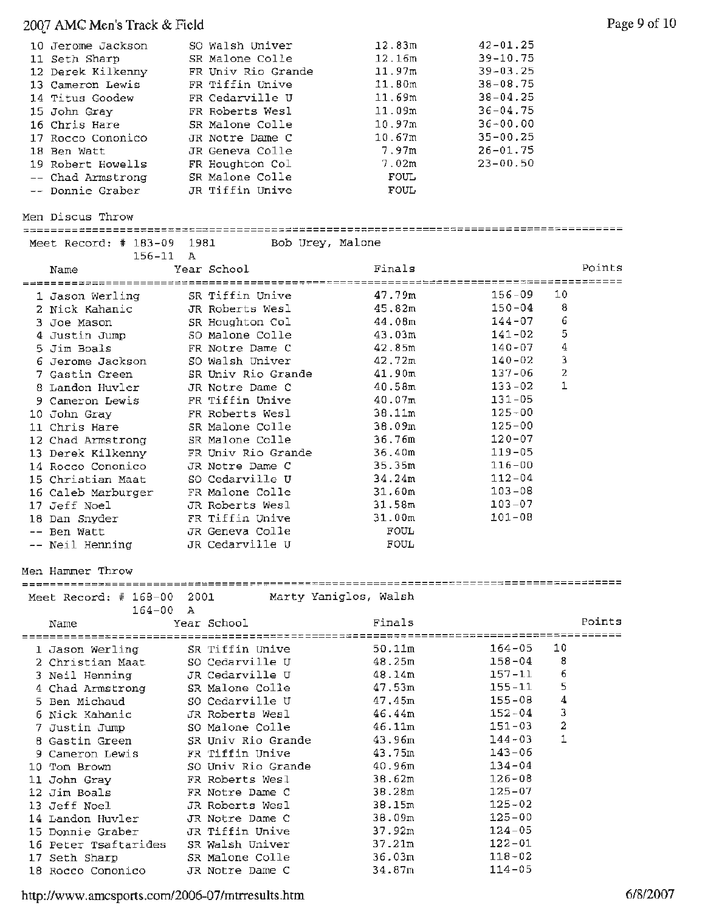# 2007 AMC Men's Track & Field Page 9 of 10

| 10 Jerome Jackson | SO Walsh Univer    | 12.83m      | $42 - 01.25$ |
|-------------------|--------------------|-------------|--------------|
| 11 Seth Sharp     | SR Malone Colle    | 12.16m      | $39 - 10.75$ |
| 12 Derek Kilkenny | FR Univ Rio Grande | 11.97m      | $39 - 03.25$ |
| 13 Cameron Lewis  | FR Tiffin Unive    | 11.80m      | $38 - 08.75$ |
| 14 Titus Goodew   | FR Cedarville U    | 11.69m      | $38 - 04.25$ |
| 15 John Gray      | FR Roberts Wesl    | 11.09m      | $36 - 04.75$ |
| 16 Chris Hare     | SR Malone Colle    | 10.97m      | $36 - 00.00$ |
| 17 Rocco Cononico | JR Notre Dame C    | 10.67m      | $35 - 00.25$ |
| 18 Ben Watt       | JR Geneva Colle    | 7.97m       | $26 - 01.75$ |
| 19 Robert Howells | FR Houghton Col    | 7.02m       | $23 - 00.50$ |
| -- Chad Armstrong | SR Malone Colle    | FOUL.       |              |
| -- Donnie Graber  | JR Tiffin Unive    | <b>FOUL</b> |              |

Men Discus Throw Meet Record:# 183-09 1981 Bob Urey, Malone

| $156 - 11$ A<br>Name                  |      | Year School                        | Finals           |                          |                | Points |
|---------------------------------------|------|------------------------------------|------------------|--------------------------|----------------|--------|
|                                       |      |                                    |                  | ;======== <b>====</b> == |                | $---$  |
| 1 Jason Werling                       |      | SR Tiffin Unive                    | 47.79m           | $156 - 09$               | 10             |        |
| 2 Nick Kahanic                        |      | JR Roberts Wesl                    | 45.82m           | $150 - 04$               | 8              |        |
| 3 Joe Mason                           |      | SR Houghton Col                    | 44.08m           | $144 - 07$               | 6              |        |
| 4 Justin Jump                         |      | SO Malone Colle                    | 43.03m           | $141 - 02$               | 5              |        |
| 5 Jim Boals                           |      | FR Notre Dame C                    | 42.85m           | $140 - 07$               | 4              |        |
| 6 Jerome Jackson                      |      | SO Walsh Univer                    | 42.72m           | $140 - 02$               | З              |        |
| 7 Gastin Green                        |      | SR Univ Rio Grande                 | 41.90m           | $137 - 06$               | $\overline{c}$ |        |
| 8 Landon Huvler                       |      | JR Notre Dame C                    | 40.58m           | $133 - 02$               | 1              |        |
| 9 Cameron Lewis                       |      | FR Tiffin Unive                    | 40.07m           | 131-05                   |                |        |
| 10 John Gray                          |      | FR Roberts Wesl                    | 38.11m           | $125 - 00$               |                |        |
| 11 Chris Hare                         |      | SR Malone Colle                    | 38.09m           | $125 - 00$               |                |        |
| 12 Chad Armstrong                     |      | SR Malone Colle                    | 36.76m           | $120 - 07$               |                |        |
| 13 Derek Kilkenny                     |      | FR Univ Rio Grande                 | 36,40m           | $119 - 05$               |                |        |
| 14 Rocco Cononico                     |      | JR Notre Dame C                    | 35.35m           | $116 - 00$               |                |        |
| 15 Christian Maat                     |      | SO Cedarville U                    | 34.24m           | $112 - 04$               |                |        |
| 16 Caleb Marburger                    |      | FR Malone Colle                    | 31.60m           | $103 - 08$               |                |        |
| 17 Jeff Noel                          |      | JR Roberts Wesl                    | 31.58m           | $103 - 07$               |                |        |
| 18 Dan Snyder                         |      | FR Tiffin Unive                    | 31.00m           | $101 - 08$               |                |        |
| -- Ben Watt                           |      | JR Geneva Colle                    | FOUL             |                          |                |        |
| -- Neil Henning                       |      | JR Cedarville U                    | FOUL             |                          |                |        |
|                                       |      |                                    |                  |                          |                |        |
| Men Hammer Throw                      |      |                                    |                  |                          |                |        |
| Meet Record: $\#$ 168-00              | 2001 | Marty Yaniglos, Walsh              |                  |                          |                |        |
| $164 - 00$<br>Name                    | A    | Year School                        | Finals           |                          |                | Points |
|                                       |      |                                    | 50.11m           | $164 - 05$               | 10             |        |
| 1 Jason Werling                       |      | SR Tiffin Unive                    |                  | $158 - 04$               | 8              |        |
| 2 Christian Maat                      |      | SO Cedarville U                    | 48.25m<br>48.14m | $157 - 11$               | 6              |        |
| 3 Neil Henning                        |      | JR Cedarville U                    | 47.53m           | $155 - 11$               | 5              |        |
| 4 Chad Armstrong                      |      | SR Malone Colle<br>SO Cedarville U | 47,45m           | $155 - 08$               | 4              |        |
| 5 Ben Michaud                         |      | JR Roberts Wesl                    | 46.44m           | $152 - 04$               | 3              |        |
| 6 Nick Kahanic                        |      |                                    | 46.11m           | $151 - 03$               | 2              |        |
| 7 Justin Jump                         |      | SO Malone Colle                    |                  | $144 - 03$               | 1              |        |
| 8 Gastin Green                        |      | SR Univ Rio Grande                 | 43.96m<br>43.75m | $143 - 06$               |                |        |
| 9 Cameron Lewis                       |      | FR Tiffin Unive                    |                  |                          |                |        |
| 10 Tom Brown                          |      | SO Univ Rio Grande                 | 40.96m           | $134 - 04$<br>$126 - 08$ |                |        |
| 11 John Gray                          |      | FR Roberts Wesl                    | 38.62m           | $125 - 07$               |                |        |
| 12 Jim Boals                          |      | FR Notre Dame C<br>JR Roberts Wesl | 38.28m           | $125 - 02$               |                |        |
| 13 Jeff Noel                          |      |                                    | 38.15m<br>38.09m | $125 - 00$               |                |        |
| 14 Landon Huvler<br>15 Donnie Graber  |      | JR Notre Dame C<br>JR Tiffin Unive |                  | $124 - 05$               |                |        |
|                                       |      |                                    | 37.92m           | $122 - 01$               |                |        |
| 16 Peter Tsaftarides<br>17 Seth Sharp |      | SR Walsh Univer<br>SR Malone Colle | 37.21m<br>36.03m | $118 - 02$               |                |        |

http://www.amcsports.com/2006-07/mtrresults.htm 6/8/2007